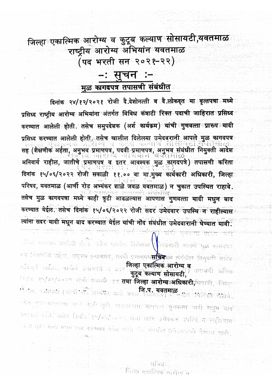जिल्हा**्एकात्मिक** आरोग्य व कुटूब कल्याण सोसायटी,यवतमाळ राष्ट्रीय आरोग्य अभियांन यवतमाळ .<br>(पद भरती सन<sub>ं</sub> २०२१-२२)

## −ः सूचन ः− मुळ कागदपत्र तपासणी संबंधीत

दिनांक २४/१२/२०२१ रोजी दे.देशोनत्ती व दे.लोकदृत या वृत्तपत्रा मध्ये प्रसिध्द राष्ट्रीय आरोग्य अभियांना अंतर्गत विविध कंत्राटी रिक्त पदाची जाहिरात प्रसिध्द करण्यात आलेली होती. तसेच समुपदेशक (अर्श कार्यक्रम) यांची गुणवत्ता प्रारुप यादी प्रसिध्द करण्यात आलेली होती. तसेच खालील दिलेलया उमेदवरानी आपले मुळ कागदपत्र an un सह (शैक्षणीक अर्हता, अनुभव प्रमाणपत्र, पदवी प्रमाणपत्र, अनुभव संबंधीत नियुक्ती आदेश अनिवार्य राहील, जातीचे प्रमाणपत्र व इतर आवश्यक मुळ कागदपत्रे) तपासणी करिता दिनांक १५/०६/२०२२ रोजी सकाळी ११.०० वा मा.मुख्य कार्यकारी अधिकारी, जिल्हा परिषद, यवतमाळ (आर्णी रोड अभ्यंकर शाळे जवळ यवतमाळ) न चुकात उपस्थित राहावे. तसेच मूळ कागदपत्रा मध्ये काही त्रृटी आढळल्यास आपणास गुणवत्ता यादी मधुन बाद करण्यात येईल. तसेच दिनांक १५⁄०६/२०२२ रोजी सदर उमेदवार उपस्थि∛न राहील्यास त्यांना सदर यादी मधून बाद करण्यात येईल यांची नोंद संबंधीत उमेदवारानी घेण्यात यावी. गणवत्ता प्राइए जनि

्रतिध्द करण्यात आहोती होतो. तसेच खालील दिलेलया <mark>उ</mark>भेववरानी आपले मुळ कागवपत्र रूह (शैक्षणीक अर्हता, अनुभव प्रमाणपत्र, पददी प्रमाणपत्र**सच्चित्**सय संबंधीत नियुक्ती आदेश अनिवार्य राहील, जातीचे प्रमाणपत्र च इतर अति**ल्हा एकात्मिक आरोग्य व** तपासणी करिता कुटूब कल्याण सोसायटी, ितंक दिप/उद्/२००२ रोजी-सकाठी ४१ **तथा जिल्हा आरोग्याओघिकारी,**फिकारी, जिल्हा र्गतमाळ<br>संत्यन, वक्तीपाळ (आणी गाँउ अध्यक्षर शाळे जवळ, वचतेपाळ) में चुकीत उपस्थित राहावे. ∽येच मुक्त कामदपत्रा भव्ये काँसी सुटी आढळस्थारा आपणास **गुणबत्ता आदी मधुन बांद**े करण्यात यईल, तसेच सिनांकांश्रण/बच/२०९२ सेजी सदर उमेदवार उपस्थि न साहीत्यासा नावा सदन बादी भन्नुन सात करण्यात येर्डल सांची गोर्द संबंधीत उभेदवारानी वैण्यात आदी.

> सचिवः जिल्हा एकात्मिक आरोप्य न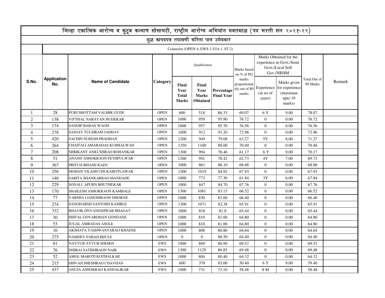| जिल्हा एकात्मिक आरोग्य व कुटूब कल्याण सोसायटी, राष्ट्रीय आरोग्य अभियांन यवतमाळ (पद भरती सन २०२१-२२) |                           |                             |                 |                                        |                                                  |                                 |                                                 |                                                                                     |                                                                             |                          |        |
|-----------------------------------------------------------------------------------------------------|---------------------------|-----------------------------|-----------------|----------------------------------------|--------------------------------------------------|---------------------------------|-------------------------------------------------|-------------------------------------------------------------------------------------|-----------------------------------------------------------------------------|--------------------------|--------|
| मुळ कागदपत्र तपासणी करिता पात्र उमेदवार                                                             |                           |                             |                 |                                        |                                                  |                                 |                                                 |                                                                                     |                                                                             |                          |        |
| Counselor (OPEN-4, EWS-1, VJA-1, ST-2)                                                              |                           |                             |                 |                                        |                                                  |                                 |                                                 |                                                                                     |                                                                             |                          |        |
| S.No.                                                                                               | <b>Application</b><br>No. | <b>Name of Candidate</b>    | <b>Category</b> | <b>Qualification</b>                   |                                                  |                                 | Marks based<br>on % of PG                       | Marks Obtained for the<br>experience in Govt./Semi<br>Govt./Local Self<br>Gov./NRHM |                                                                             |                          |        |
|                                                                                                     |                           |                             |                 | Final<br>Year<br><b>Total</b><br>Marks | Final<br>Year<br><b>Marks</b><br><b>Obtained</b> | Percentage<br><b>Final Year</b> | marks<br>proportionat<br>ely out of 80<br>marks | (in no of<br>years)                                                                 | Marks given<br>Experience for experience<br>(maximun<br>upto $10$<br>marks) | Total Out of<br>90 Marks | Remark |
| $\mathbf{1}$                                                                                        | 28                        | PURUSHOTTAM VALMIK GUDE     | <b>OPEN</b>     | 600                                    | 518                                              | 86.33                           | 69.07                                           | 6Y                                                                                  | 9.00                                                                        | 78.07                    |        |
| 2                                                                                                   | 138                       | VITTHAL NARAYAN HUDEKAR     | <b>OPEN</b>     | 1000                                   | 959                                              | 95.90                           | 76.72                                           | $\overline{0}$                                                                      | 0.00                                                                        | 76.72                    |        |
| 3                                                                                                   | 174                       | <b>SANDIP BABAN WAGH</b>    | <b>OPEN</b>     | 1000                                   | 957                                              | 95.70                           | 76.56                                           | $\overline{0}$                                                                      | 0.00                                                                        | 76.56                    |        |
| $\overline{4}$                                                                                      | 278                       | SANJAY TULSIRAM JADHAV      | <b>OPEN</b>     | 1000                                   | 912                                              | 91.20                           | 72.96                                           | $\mathbf{0}$                                                                        | 0.00                                                                        | 72.96                    |        |
| 5                                                                                                   | 420                       | SACHIN SURESH PRADHAN       | <b>OPEN</b>     | 1200                                   | 949                                              | 79.08                           | 63.27                                           | 5Y                                                                                  | 8.00                                                                        | 71.27                    |        |
| 6                                                                                                   | 264                       | CHAITALI AMABADAS KUBHALWAD | <b>OPEN</b>     | 1250                                   | 1100                                             | 88.00                           | 70.40                                           | $\overline{0}$                                                                      | 0.00                                                                        | 70.40                    |        |
| $\overline{7}$                                                                                      | 208                       | SHRIKANT ANKUSHRAO ROHANKAR | <b>OPEN</b>     | 1300                                   | 994                                              | 76.46                           | 61.17                                           | 6 Y                                                                                 | 9.00                                                                        | 70.17                    |        |
| 8                                                                                                   | 51                        | ANAND ASHOKRAON FETHFULWAR  | <b>OPEN</b>     | 1200                                   | 941                                              | 78.42                           | 62.73                                           | 4Y                                                                                  | 7.00                                                                        | 69.73                    |        |
| $\mathbf Q$                                                                                         | 367                       | PRITI SUBHASH KADU          | <b>OPEN</b>     | 1000                                   | 861                                              | 86.10                           | 68.88                                           | $\overline{0}$                                                                      | 0.00                                                                        | 68.88                    |        |
| 10                                                                                                  | 256                       | MOHAN VILASH CHUKABOTLAWAR  | <b>OPEN</b>     | 1200                                   | 1019                                             | 84.92                           | 67.93                                           | $\overline{0}$                                                                      | 0.00                                                                        | 67.93                    |        |
| 11                                                                                                  | 146                       | SARITA SHANKARRAO MANDADE   | <b>OPEN</b>     | 1000                                   | 773                                              | 77.30                           | 61.84                                           | 3Y                                                                                  | 6.00                                                                        | 67.84                    |        |
| 12                                                                                                  | 229                       | SONALI APURN BHUTHEKAR      | <b>OPEN</b>     | 1000                                   | 847                                              | 84.70                           | 67.76                                           | $\overline{0}$                                                                      | 0.00                                                                        | 67.76                    |        |
| 13                                                                                                  | 170                       | SHAILESH ASHOKRAON KAMBALE  | <b>OPEN</b>     | 1300                                   | 1081                                             | 83.15                           | 66.52                                           | $\theta$                                                                            | 0.00                                                                        | 66.52                    |        |
| 14                                                                                                  | 77                        | VARSHA GANESHRAON DHOKNE    | <b>OPEN</b>     | 1000                                   | 830                                              | 83.00                           | 66.40                                           | $\overline{0}$                                                                      | 0.00                                                                        | 66.40                    |        |
| 15                                                                                                  | 274                       | SANGHARSH SANTOSH KAMBLE    | <b>OPEN</b>     | 1300                                   | 1071                                             | 82.38                           | 65.91                                           | $\mathbf{0}$                                                                        | 0.00                                                                        | 65.91                    |        |
| 16                                                                                                  | 332                       | BHAVIK DNYANESHWAR BHAGAT   | <b>OPEN</b>     | 1000                                   | 818                                              | 81.8                            | 65.44                                           | $\mathbf{0}$                                                                        | 0.00                                                                        | 65.44                    |        |
| 17                                                                                                  | 30                        | SHITAL GOVARDHAN GONDANE    | <b>OPEN</b>     | 1000                                   | 810                                              | 81.00                           | 64.80                                           | $\Omega$                                                                            | 0.00                                                                        | 64.80                    |        |
| 18                                                                                                  | 53                        | <b>JUGAL AMBADAS ASOLE</b>  | <b>OPEN</b>     | 1000                                   | 810                                              | 81.00                           | 64.80                                           | $\mathbf{0}$                                                                        | 0.00                                                                        | 64.80                    |        |
| 19                                                                                                  | 16                        | AKSHATA YASHWANTARAO KHADSE | <b>OPEN</b>     | 1000                                   | 808                                              | 80.80                           | 64.64                                           | $\overline{0}$                                                                      | 0.00                                                                        | 64.64                    |        |
| 20                                                                                                  | 275                       | <b>NAMDEV PARAJI BIJULE</b> | <b>OPEN</b>     | $\Omega$                               | $\mathbf{0}$                                     | 80.50                           | 64.40                                           | $\theta$                                                                            | 0.00                                                                        | 64.40                    |        |
| 21                                                                                                  | 61                        | NAYYUB AYYUB SHEIKH         | EWS             | 1000                                   | 869                                              | 86.90                           | 69.52                                           | $\overline{0}$                                                                      | 0.00                                                                        | 69.52                    |        |
| 22                                                                                                  | 76                        | DHIRAJ SATISHRAON NAIK      | EWS             | 1300                                   | 1129                                             | 86.85                           | 69.48                                           | $\mathbf{0}$                                                                        | 0.00                                                                        | 69.48                    |        |
| 23                                                                                                  | 52                        | AMOL MAROTI KOTHALKAR       | <b>EWS</b>      | 1000                                   | 804                                              | 80.40                           | 64.32                                           | $\Omega$                                                                            | 0.00                                                                        | 64.32                    |        |
| 24                                                                                                  | 215                       | SHIVAJI SHESHRAO CHAVHAN    | EWS             | 600                                    | 378                                              | 63.00                           | 50.40                                           | 6 Y                                                                                 | 9.00                                                                        | 59.40                    |        |
| 25                                                                                                  | 437                       | ANUJA ASHOKRAO KANDALIKAR   | <b>EWS</b>      | 1000                                   | 731                                              | 73.10                           | 58.48                                           | 8 M                                                                                 | 0.00                                                                        | 58.48                    |        |